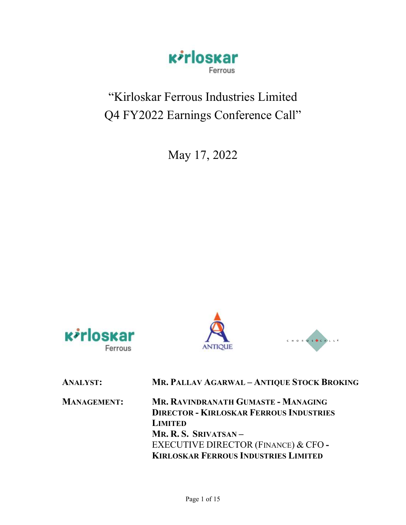

# "Kirloskar Ferrous Industries Limited Q4 FY2022 Earnings Conference Call"

May 17, 2022







| <b>ANALYST:</b>    | MR. PALLAV AGARWAL - ANTIQUE STOCK BROKING                                                                                                                                                                             |
|--------------------|------------------------------------------------------------------------------------------------------------------------------------------------------------------------------------------------------------------------|
| <b>MANAGEMENT:</b> | MR. RAVINDRANATH GUMASTE - MANAGING<br><b>DIRECTOR - KIRLOSKAR FERROUS INDUSTRIES</b><br><b>LIMITED</b><br>MR. R. S. SRIVATSAN-<br>EXECUTIVE DIRECTOR (FINANCE) & CFO -<br><b>KIRLOSKAR FERROUS INDUSTRIES LIMITED</b> |
|                    |                                                                                                                                                                                                                        |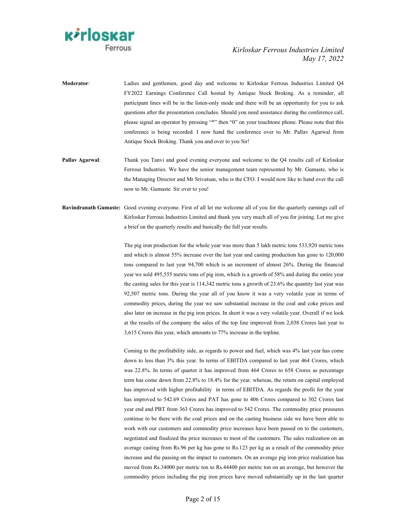

Moderator: Ladies and gentlemen, good day and welcome to Kirloskar Ferrous Industries Limited Q4 FY2022 Earnings Conference Call hosted by Antique Stock Broking. As a reminder, all participant lines will be in the listen-only mode and there will be an opportunity for you to ask questions after the presentation concludes. Should you need assistance during the conference call, please signal an operator by pressing "\*" then "0" on your touchtone phone. Please note that this conference is being recorded. I now hand the conference over to Mr. Pallav Agarwal from Antique Stock Broking. Thank you and over to you Sir!

Pallav Agarwal: Thank you Tanvi and good evening everyone and welcome to the Q4 results call of Kirloskar Ferrous Industries. We have the senior management team represented by Mr. Gumaste, who is the Managing Director and Mr Srivatsan, who is the CFO. I would now like to hand over the call now to Mr. Gumaste. Sir over to you!

Ravindranath Gumaste: Good evening everyone. First of all let me welcome all of you for the quarterly earnings call of Kirloskar Ferrous Industries Limited and thank you very much all of you for joining. Let me give a brief on the quarterly results and basically the full year results.

> The pig iron production for the whole year was more than 5 lakh metric tons 533,920 metric tons and which is almost 55% increase over the last year and casting production has gone to 120,000 tons compared to last year 94,700 which is an increment of almost 26%. During the financial year we sold 495,555 metric tons of pig iron, which is a growth of 58% and during the entire year the casting sales for this year is 114,342 metric tons a growth of 23.6% the quantity last year was 92,507 metric tons. During the year all of you know it was a very volatile year in terms of commodity prices, during the year we saw substantial increase in the coal and coke prices and also later on increase in the pig iron prices. In short it was a very volatile year. Overall if we look at the results of the company the sales of the top line improved from 2,038 Crores last year to 3,615 Crores this year, which amounts to 77% increase in the topline.

> Coming to the profitability side, as regards to power and fuel, which was 4% last year has come down to less than 3% this year. In terms of EBITDA compared to last year 464 Crores, which was 22.8%. In terms of quarter it has improved from 464 Crores to 658 Crores as percentage term has come down from 22.8% to 18.4% for the year. whereas, the return on capital employed has improved with higher profitability in terms of EBITDA. As regards the profit for the year has improved to 542.69 Crores and PAT has gone to 406 Crores compared to 302 Crores last year end and PBT from 363 Crores has improved to 542 Crores. The commodity price pressures continue to be there with the coal prices and on the casting business side we have been able to work with our customers and commodity price increases have been passed on to the customers, negotiated and finalized the price increases to most of the customers. The sales realization on an average casting from Rs.96 per kg has gone to Rs.123 per kg as a result of the commodity price increase and the passing on the impact to customers. On an average pig iron price realization has moved from Rs.34000 per metric ton to Rs.44400 per metric ton on an average, but however the commodity prices including the pig iron prices have moved substantially up in the last quarter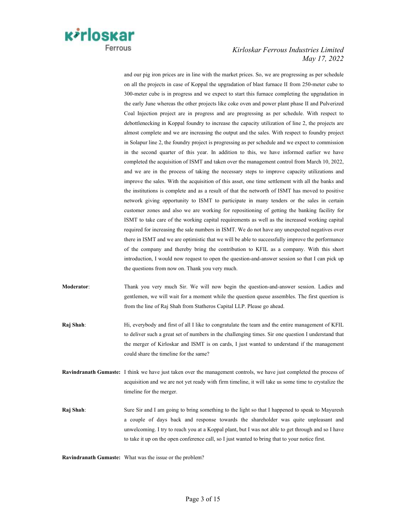

and our pig iron prices are in line with the market prices. So, we are progressing as per schedule on all the projects in case of Koppal the upgradation of blast furnace II from 250-meter cube to 300-meter cube is in progress and we expect to start this furnace completing the upgradation in the early June whereas the other projects like coke oven and power plant phase II and Pulverized Coal Injection project are in progress and are progressing as per schedule. With respect to debottlenecking in Koppal foundry to increase the capacity utilization of line 2, the projects are almost complete and we are increasing the output and the sales. With respect to foundry project in Solapur line 2, the foundry project is progressing as per schedule and we expect to commission in the second quarter of this year. In addition to this, we have informed earlier we have completed the acquisition of ISMT and taken over the management control from March 10, 2022, and we are in the process of taking the necessary steps to improve capacity utilizations and improve the sales. With the acquisition of this asset, one time settlement with all the banks and the institutions is complete and as a result of that the networth of ISMT has moved to positive network giving opportunity to ISMT to participate in many tenders or the sales in certain customer zones and also we are working for repositioning of getting the banking facility for ISMT to take care of the working capital requirements as well as the increased working capital required for increasing the sale numbers in ISMT. We do not have any unexpected negatives over there in ISMT and we are optimistic that we will be able to successfully improve the performance of the company and thereby bring the contribution to KFIL as a company. With this short introduction, I would now request to open the question-and-answer session so that I can pick up the questions from now on. Thank you very much.

- Moderator: Thank you very much Sir. We will now begin the question-and-answer session. Ladies and gentlemen, we will wait for a moment while the question queue assembles. The first question is from the line of Raj Shah from Statheros Capital LLP. Please go ahead.
- Raj Shah: Hi, everybody and first of all I like to congratulate the team and the entire management of KFIL to deliver such a great set of numbers in the challenging times. Sir one question I understand that the merger of Kirloskar and ISMT is on cards, I just wanted to understand if the management could share the timeline for the same?
- Ravindranath Gumaste: I think we have just taken over the management controls, we have just completed the process of acquisition and we are not yet ready with firm timeline, it will take us some time to crystalize the timeline for the merger.
- Raj Shah: Sure Sir and I am going to bring something to the light so that I happened to speak to Mayuresh a couple of days back and response towards the shareholder was quite unpleasant and unwelcoming. I try to reach you at a Koppal plant, but I was not able to get through and so I have to take it up on the open conference call, so I just wanted to bring that to your notice first.

Ravindranath Gumaste: What was the issue or the problem?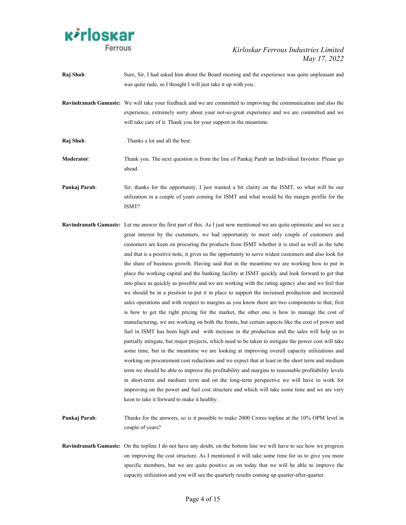

- Raj Shah: Sure, Sir, I had asked him about the Board meeting and the experience was quite unpleasant and was quite rude, so I thought I will just take it up with you.
- Ravindranath Gumaste: We will take your feedback and we are committed to improving the communication and also the experience, extremely sorry about your not-so-great experience and we are committed and we will take care of it. Thank you for your support in the meantime.
- Raj Shah: . Thanks a lot and all the best.
- Moderator: Thank you. The next question is from the line of Pankaj Parab an Individual Investor. Please go ahead.
- **Pankaj Parab:** Sir, thanks for the opportunity, I just wanted a bit clarity on the ISMT, so what will be our utilization in a couple of years coming for ISMT and what would be the margin profile for the ISMT?
- Ravindranath Gumaste: Let me answer the first part of this. As I just now mentioned we are quite optimistic and we see a great interest by the customers, we had opportunity to meet only couple of customers and customers are keen on procuring the products from ISMT whether it is steel as well as the tube and that is a positive note, it gives us the opportunity to serve widest customers and also look for the share of business growth. Having said that in the meantime we are working how to put in place the working capital and the banking facility at ISMT quickly and look forward to get that into place as quickly as possible and we are working with the rating agency also and we feel that we should be in a position to put it in place to support the increased production and increased sales operations and with respect to margins as you know there are two components to that, first is how to get the right pricing for the market, the other one is how to manage the cost of manufacturing, we are working on both the fronts, but certain aspects like the cost of power and fuel in ISMT has been high and with increase in the production and the sales will help us to partially mitigate, but major projects, which need to be taken to mitigate the power cost will take some time, but in the meantime we are looking at improving overall capacity utilizations and working on procurement cost reductions and we expect that at least in the short term and medium term we should be able to improve the profitability and margins to reasonable profitability levels in short-term and medium term and on the long-term perspective we will have to work for improving on the power and fuel cost structure and which will take some time and we are very keen to take it forward to make it healthy.
- Pankaj Parab: Thanks for the answers, so is it possible to make 2000 Crores topline at the 10% OPM level in couple of years?
- Ravindranath Gumaste: On the topline I do not have any doubt, on the bottom line we will have to see how we progress on improving the cost structure. As I mentioned it will take some time for us to give you more specific members, but we are quite positive as on today that we will be able to improve the capacity utilization and you will see the quarterly results coming up quarter-after-quarter.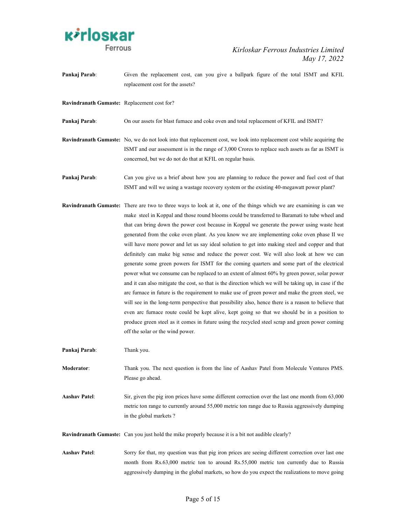

Pankaj Parab: Given the replacement cost, can you give a ballpark figure of the total ISMT and KFIL replacement cost for the assets?

Ravindranath Gumaste: Replacement cost for?

Pankaj Parab: On our assets for blast furnace and coke oven and total replacement of KFIL and ISMT?

Ravindranath Gumaste: No, we do not look into that replacement cost, we look into replacement cost while acquiring the ISMT and our assessment is in the range of 3,000 Crores to replace such assets as far as ISMT is concerned, but we do not do that at KFIL on regular basis.

Pankaj Parab: Can you give us a brief about how you are planning to reduce the power and fuel cost of that ISMT and will we using a wastage recovery system or the existing 40-megawatt power plant?

Ravindranath Gumaste: There are two to three ways to look at it, one of the things which we are examining is can we make steel in Koppal and those round blooms could be transferred to Baramati to tube wheel and that can bring down the power cost because in Koppal we generate the power using waste heat generated from the coke oven plant. As you know we are implementing coke oven phase II we will have more power and let us say ideal solution to get into making steel and copper and that definitely can make big sense and reduce the power cost. We will also look at how we can generate some green powers for ISMT for the coming quarters and some part of the electrical power what we consume can be replaced to an extent of almost 60% by green power, solar power and it can also mitigate the cost, so that is the direction which we will be taking up, in case if the arc furnace in future is the requirement to make use of green power and make the green steel, we will see in the long-term perspective that possibility also, hence there is a reason to believe that even arc furnace route could be kept alive, kept going so that we should be in a position to produce green steel as it comes in future using the recycled steel scrap and green power coming off the solar or the wind power.

Pankaj Parab: Thank you.

Moderator: Thank you. The next question is from the line of Aashav Patel from Molecule Ventures PMS. Please go ahead.

Aashav Patel: Sir, given the pig iron prices have some different correction over the last one month from 63,000 metric ton range to currently around 55,000 metric ton range due to Russia aggressively dumping in the global markets ?

Ravindranath Gumaste: Can you just hold the mike properly because it is a bit not audible clearly?

Aashav Patel: Sorry for that, my question was that pig iron prices are seeing different correction over last one month from Rs.63,000 metric ton to around Rs.55,000 metric ton currently due to Russia aggressively dumping in the global markets, so how do you expect the realizations to move going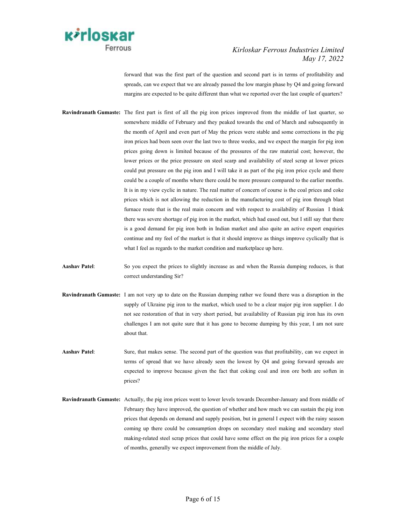

forward that was the first part of the question and second part is in terms of profitability and spreads, can we expect that we are already passed the low margin phase by Q4 and going forward margins are expected to be quite different than what we reported over the last couple of quarters?

- Ravindranath Gumaste: The first part is first of all the pig iron prices improved from the middle of last quarter, so somewhere middle of February and they peaked towards the end of March and subsequently in the month of April and even part of May the prices were stable and some corrections in the pig iron prices had been seen over the last two to three weeks, and we expect the margin for pig iron prices going down is limited because of the pressures of the raw material cost; however, the lower prices or the price pressure on steel scarp and availability of steel scrap at lower prices could put pressure on the pig iron and I will take it as part of the pig iron price cycle and there could be a couple of months where there could be more pressure compared to the earlier months. It is in my view cyclic in nature. The real matter of concern of course is the coal prices and coke prices which is not allowing the reduction in the manufacturing cost of pig iron through blast furnace route that is the real main concern and with respect to availability of Russian I think there was severe shortage of pig iron in the market, which had eased out, but I still say that there is a good demand for pig iron both in Indian market and also quite an active export enquiries continue and my feel of the market is that it should improve as things improve cyclically that is what I feel as regards to the market condition and marketplace up here.
- Aashav Patel: So you expect the prices to slightly increase as and when the Russia dumping reduces, is that correct understanding Sir?
- Ravindranath Gumaste: I am not very up to date on the Russian dumping rather we found there was a disruption in the supply of Ukraine pig iron to the market, which used to be a clear major pig iron supplier. I do not see restoration of that in very short period, but availability of Russian pig iron has its own challenges I am not quite sure that it has gone to become dumping by this year, I am not sure about that.
- Aashav Patel: Sure, that makes sense. The second part of the question was that profitability, can we expect in terms of spread that we have already seen the lowest by Q4 and going forward spreads are expected to improve because given the fact that coking coal and iron ore both are soften in prices?
- Ravindranath Gumaste: Actually, the pig iron prices went to lower levels towards December-January and from middle of February they have improved, the question of whether and how much we can sustain the pig iron prices that depends on demand and supply position, but in general I expect with the rainy season coming up there could be consumption drops on secondary steel making and secondary steel making-related steel scrap prices that could have some effect on the pig iron prices for a couple of months, generally we expect improvement from the middle of July.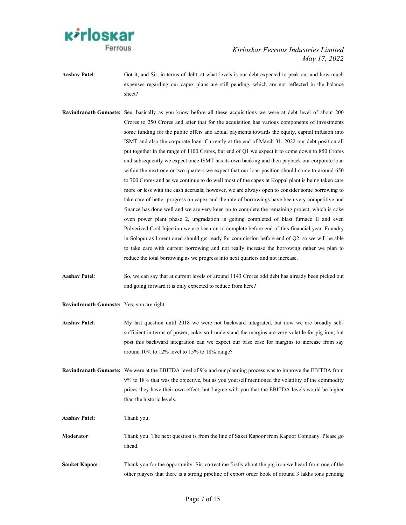

- Aashav Patel: Got it, and Sir, in terms of debt, at what levels is our debt expected to peak out and how much expenses regarding our capex plans are still pending, which are not reflected in the balance sheet?
- Ravindranath Gumaste: See, basically as you know before all these acquisitions we were at debt level of about 200 Crores to 250 Crores and after that for the acquisition has various components of investments some funding for the public offers and actual payments towards the equity, capital infusion into ISMT and also the corporate loan. Currently at the end of March 31, 2022 our debt position all put together in the range of 1100 Crores, but end of Q1 we expect it to come down to 850 Crores and subsequently we expect once ISMT has its own banking and then payback our corporate loan within the next one or two quarters we expect that our loan position should come to around 650 to 700 Crores and as we continue to do well most of the capex at Koppal plant is being taken care more or less with the cash accruals; however, we are always open to consider some borrowing to take care of better progress on capex and the rate of borrowings have been very competitive and finance has done well and we are very keen on to complete the remaining project, which is coke oven power plant phase 2, upgradation is getting completed of blast furnace II and even Pulverized Coal Injection we are keen on to complete before end of this financial year. Foundry in Solapur as I mentioned should get ready for commission before end of Q2, so we will be able to take care with current borrowing and not really increase the borrowing rather we plan to reduce the total borrowing as we progress into next quarters and not increase.
- Aashav Patel: So, we can say that at current levels of around 1143 Crores odd debt has already been picked out and going forward it is only expected to reduce from here?
- Ravindranath Gumaste: Yes, you are right.
- Aashav Patel: My last question until 2018 we were not backward integrated, but now we are broadly selfsufficient in terms of power, coke, so I understand the margins are very volatile for pig iron, but post this backward integration can we expect our base case for margins to increase from say around 10% to 12% level to 15% to 18% range?
- Ravindranath Gumaste: We were at the EBITDA level of 9% and our planning process was to improve the EBITDA from 9% to 18% that was the objective, but as you yourself mentioned the volatility of the commodity prices they have their own effect, but I agree with you that the EBITDA levels would be higher than the historic levels.
- Aashav Patel: Thank you.
- Moderator: Thank you. The next question is from the line of Saket Kapoor from Kapoor Company. Please go ahead.
- Sanket Kapoor: Thank you for the opportunity. Sir, correct me firstly about the pig iron we heard from one of the other players that there is a strong pipeline of export order book of around 3 lakhs tons pending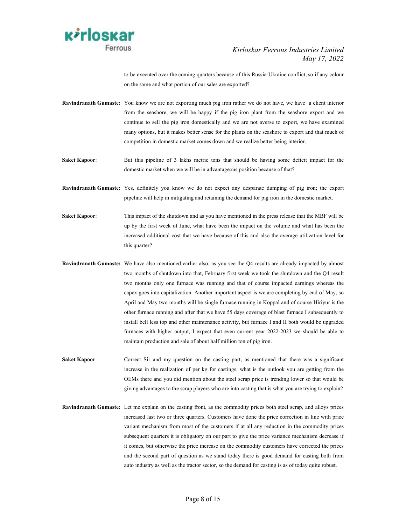

to be executed over the coming quarters because of this Russia-Ukraine conflict, so if any colour on the same and what portion of our sales are exported?

- Ravindranath Gumaste: You know we are not exporting much pig iron rather we do not have, we have a client interior from the seashore, we will be happy if the pig iron plant from the seashore export and we continue to sell the pig iron domestically and we are not averse to export, we have examined many options, but it makes better sense for the plants on the seashore to export and that much of competition in domestic market comes down and we realize better being interior.
- Saket Kapoor: But this pipeline of 3 lakhs metric tons that should be having some deficit impact for the domestic market when we will be in advantageous position because of that?
- Ravindranath Gumaste: Yes, definitely you know we do not expect any desparate dumping of pig iron; the export pipeline will help in mitigating and retaining the demand for pig iron in the domestic market.
- Saket Kapoor: This impact of the shutdown and as you have mentioned in the press release that the MBF will be up by the first week of June, what have been the impact on the volume and what has been the increased additional cost that we have because of this and also the average utilization level for this quarter?
- Ravindranath Gumaste: We have also mentioned earlier also, as you see the Q4 results are already impacted by almost two months of shutdown into that, February first week we took the shutdown and the Q4 result two months only one furnace was running and that of course impacted earnings whereas the capex goes into capitalization. Another important aspect is we are completing by end of May, so April and May two months will be single furnace running in Koppal and of course Hiriyur is the other furnace running and after that we have 55 days coverage of blast furnace I subsequently to install bell less top and other maintenance activity, but furnace I and II both would be upgraded furnaces with higher output, I expect that even current year 2022-2023 we should be able to maintain production and sale of about half million ton of pig iron.
- Saket Kapoor: Correct Sir and my question on the casting part, as mentioned that there was a significant increase in the realization of per kg for castings, what is the outlook you are getting from the OEMs there and you did mention about the steel scrap price is trending lower so that would be giving advantages to the scrap players who are into casting that is what you are trying to explain?
- Ravindranath Gumaste: Let me explain on the casting front, as the commodity prices both steel scrap, and alloys prices increased last two or three quarters. Customers have done the price correction in line with price variant mechanism from most of the customers if at all any reduction in the commodity prices subsequent quarters it is obligatory on our part to give the price variance mechanism decrease if it comes, but otherwise the price increase on the commodity customers have corrected the prices and the second part of question as we stand today there is good demand for casting both from auto industry as well as the tractor sector, so the demand for casting is as of today quite robust.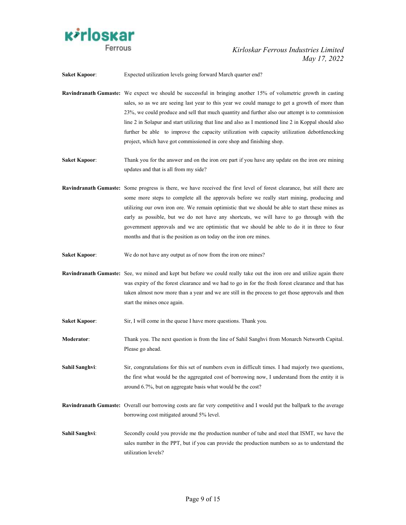

Saket Kapoor: Expected utilization levels going forward March quarter end?

- Ravindranath Gumaste: We expect we should be successful in bringing another 15% of volumetric growth in casting sales, so as we are seeing last year to this year we could manage to get a growth of more than 23%, we could produce and sell that much quantity and further also our attempt is to commission line 2 in Solapur and start utilizing that line and also as I mentioned line 2 in Koppal should also further be able to improve the capacity utilization with capacity utilization debottlenecking project, which have got commissioned in core shop and finishing shop.
- Saket Kapoor: Thank you for the answer and on the iron ore part if you have any update on the iron ore mining updates and that is all from my side?
- Ravindranath Gumaste: Some progress is there, we have received the first level of forest clearance, but still there are some more steps to complete all the approvals before we really start mining, producing and utilizing our own iron ore. We remain optimistic that we should be able to start these mines as early as possible, but we do not have any shortcuts, we will have to go through with the government approvals and we are optimistic that we should be able to do it in three to four months and that is the position as on today on the iron ore mines.
- Saket Kapoor: We do not have any output as of now from the iron ore mines?
- Ravindranath Gumaste: See, we mined and kept but before we could really take out the iron ore and utilize again there was expiry of the forest clearance and we had to go in for the fresh forest clearance and that has taken almost now more than a year and we are still in the process to get those approvals and then start the mines once again.
- Saket Kapoor: Sir, I will come in the queue I have more questions. Thank you.
- Moderator: Thank you. The next question is from the line of Sahil Sanghvi from Monarch Networth Capital. Please go ahead.
- Sahil Sanghvi: Sir, congratulations for this set of numbers even in difficult times. I had majorly two questions, the first what would be the aggregated cost of borrowing now, I understand from the entity it is around 6.7%, but on aggregate basis what would be the cost?
- Ravindranath Gumaste: Overall our borrowing costs are far very competitive and I would put the ballpark to the average borrowing cost mitigated around 5% level.
- Sahil Sanghvi: Secondly could you provide me the production number of tube and steel that ISMT, we have the sales number in the PPT, but if you can provide the production numbers so as to understand the utilization levels?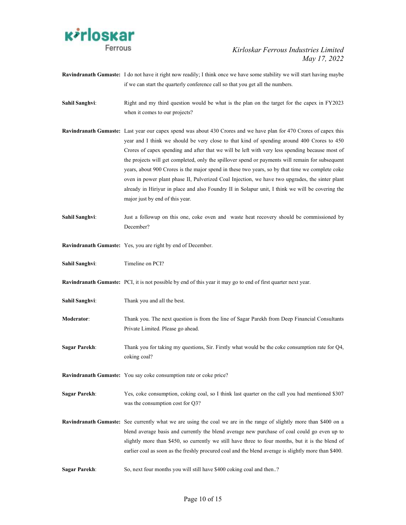

- Ravindranath Gumaste: I do not have it right now readily; I think once we have some stability we will start having maybe if we can start the quarterly conference call so that you get all the numbers.
- Sahil Sanghvi: Right and my third question would be what is the plan on the target for the capex in FY2023 when it comes to our projects?
- Ravindranath Gumaste: Last year our capex spend was about 430 Crores and we have plan for 470 Crores of capex this year and I think we should be very close to that kind of spending around 400 Crores to 450 Crores of capex spending and after that we will be left with very less spending because most of the projects will get completed, only the spillover spend or payments will remain for subsequent years, about 900 Crores is the major spend in these two years, so by that time we complete coke oven in power plant phase II, Pulverized Coal Injection, we have two upgrades, the sinter plant already in Hiriyur in place and also Foundry II in Solapur unit, I think we will be covering the major just by end of this year.
- Sahil Sanghvi: Just a followup on this one, coke oven and waste heat recovery should be commissioned by December?
- Ravindranath Gumaste: Yes, you are right by end of December.

Sahil Sanghvi: Timeline on PCI?

Ravindranath Gumaste: PCI, it is not possible by end of this year it may go to end of first quarter next year.

- Sahil Sanghvi: Thank you and all the best.
- Moderator: Thank you. The next question is from the line of Sagar Parekh from Deep Financial Consultants Private Limited. Please go ahead.
- Sagar Parekh: Thank you for taking my questions, Sir. Firstly what would be the coke consumption rate for Q4, coking coal?

Ravindranath Gumaste: You say coke consumption rate or coke price?

- Sagar Parekh: Yes, coke consumption, coking coal, so I think last quarter on the call you had mentioned \$307 was the consumption cost for Q3?
- Ravindranath Gumaste: See currently what we are using the coal we are in the range of slightly more than \$400 on a blend average basis and currently the blend average new purchase of coal could go even up to slightly more than \$450, so currently we still have three to four months, but it is the blend of earlier coal as soon as the freshly procured coal and the blend average is slightly more than \$400.
- Sagar Parekh: So, next four months you will still have \$400 coking coal and then..?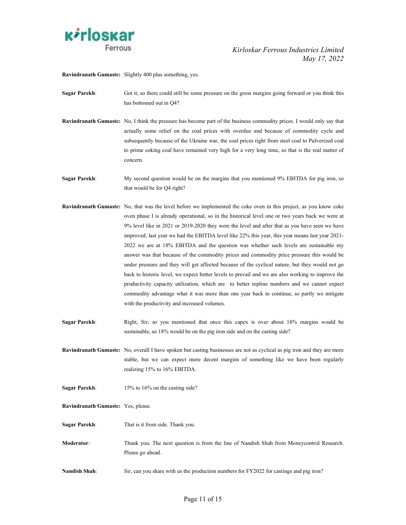

Ravindranath Gumaste: Slightly 400 plus something, yes.

Sagar Parekh: Got it, so there could still be some pressure on the gross margins going forward or you think this has bottomed out in Q4?

Ravindranath Gumaste: No, I think the pressure has become part of the business commodity prices. I would only say that actually some relief on the coal prices with overdue and because of commodity cycle and subsequently because of the Ukraine war, the coal prices right from steel coal to Pulverized coal to prime coking coal have remained very high for a very long time, so that is the real matter of concern.

Sagar Parekh: My second question would be on the margins that you mentioned 9% EBITDA for pig iron, so that would be for Q4 right?

- Ravindranath Gumaste: No, that was the level before we implemented the coke oven in this project, as you know coke oven phase I is already operational, so in the historical level one or two years back we were at 9% level like in 2021 or 2019-2020 they were the level and after that as you have seen we have improved, last year we had the EBITDA level like 22% this year, this year means last year 2021- 2022 we are at 18% EBITDA and the question was whether such levels are sustainable my answer was that because of the commodity prices and commodity price pressure this would be under pressure and they will get affected because of the cyclical nature, but they would not go back to historic level, we expect better levels to prevail and we are also working to improve the productivity capacity utilization, which are to better topline numbers and we cannot expect commodity advantage what it was more than one year back to continue, so partly we mitigate with the productivity and increased volumes.
- Sagar Parekh: Right, Sir, so you mentioned that once this capex is over about 18% margins would be sustainable, so 18% would be on the pig iron side and on the casting side?

Ravindranath Gumaste: No, overall I have spoken but casting businesses are not as cyclical as pig iron and they are more stable, but we can expect more decent margins of something like we have been regularly realizing 15% to 16% EBITDA.

- Sagar Parekh: 15% to 16% on the casting side?
- Ravindranath Gumaste: Yes, please.
- Sagar Parekh: That is it from side. Thank you.
- Moderator: Thank you. The next question is from the line of Nandish Shah from Moneycontrol Research. Please go ahead.
- Nandish Shah: Sir, can you share with us the production numbers for FY2022 for castings and pig iron?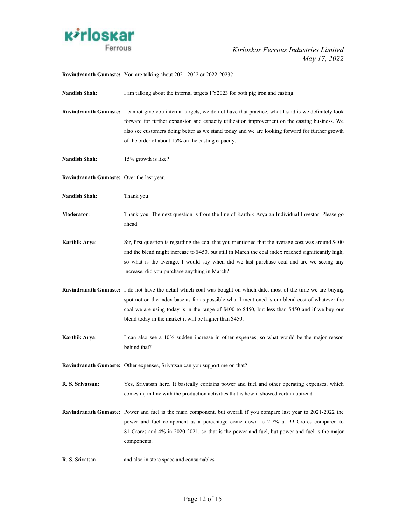

Ravindranath Gumaste: You are talking about 2021-2022 or 2022-2023?

Nandish Shah: I am talking about the internal targets FY2023 for both pig iron and casting.

- Ravindranath Gumaste: I cannot give you internal targets, we do not have that practice, what I said is we definitely look forward for further expansion and capacity utilization improvement on the casting business. We also see customers doing better as we stand today and we are looking forward for further growth of the order of about 15% on the casting capacity.
- Nandish Shah: 15% growth is like?
- Ravindranath Gumaste: Over the last year.
- Nandish Shah: Thank you.
- Moderator: Thank you. The next question is from the line of Karthik Arya an Individual Investor. Please go ahead.
- Karthik Arya: Sir, first question is regarding the coal that you mentioned that the average cost was around \$400 and the blend might increase to \$450, but still in March the coal index reached significantly high, so what is the average, I would say when did we last purchase coal and are we seeing any increase, did you purchase anything in March?
- Ravindranath Gumaste: I do not have the detail which coal was bought on which date, most of the time we are buying spot not on the index base as far as possible what I mentioned is our blend cost of whatever the coal we are using today is in the range of \$400 to \$450, but less than \$450 and if we buy our blend today in the market it will be higher than \$450.
- Karthik Arya: I can also see a 10% sudden increase in other expenses, so what would be the major reason behind that?

Ravindranath Gumaste: Other expenses, Srivatsan can you support me on that?

- R. S. Srivatsan: Yes, Srivatsan here. It basically contains power and fuel and other operating expenses, which comes in, in line with the production activities that is how it showed certain uptrend
- Ravindranath Gumaste: Power and fuel is the main component, but overall if you compare last year to 2021-2022 the power and fuel component as a percentage come down to 2.7% at 99 Crores compared to 81 Crores and 4% in 2020-2021, so that is the power and fuel, but power and fuel is the major components.
- R. S. Srivatsan and also in store space and consumables.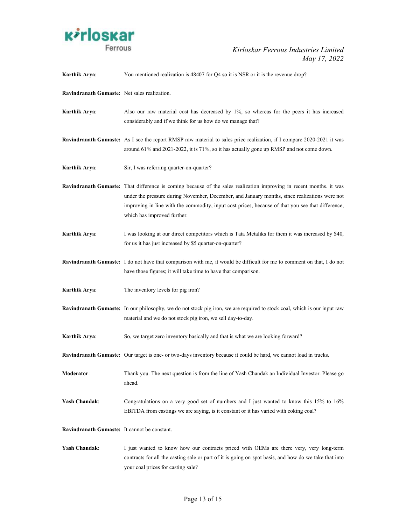

| Karthik Arya:                                | You mentioned realization is 48407 for Q4 so it is NSR or it is the revenue drop?                                                                                                                                                                                                                                                                               |
|----------------------------------------------|-----------------------------------------------------------------------------------------------------------------------------------------------------------------------------------------------------------------------------------------------------------------------------------------------------------------------------------------------------------------|
| Ravindranath Gumaste: Net sales realization. |                                                                                                                                                                                                                                                                                                                                                                 |
| Karthik Arya:                                | Also our raw material cost has decreased by 1%, so whereas for the peers it has increased<br>considerably and if we think for us how do we manage that?                                                                                                                                                                                                         |
|                                              | <b>Ravindranath Gumaste:</b> As I see the report RMSP raw material to sales price realization, if I compare 2020-2021 it was<br>around 61% and 2021-2022, it is 71%, so it has actually gone up RMSP and not come down.                                                                                                                                         |
| Karthik Arya:                                | Sir, I was referring quarter-on-quarter?                                                                                                                                                                                                                                                                                                                        |
|                                              | <b>Ravindranath Gumaste:</b> That difference is coming because of the sales realization improving in recent months. it was<br>under the pressure during November, December, and January months, since realizations were not<br>improving in line with the commodity, input cost prices, because of that you see that difference,<br>which has improved further. |
| Karthik Arya:                                | I was looking at our direct competitors which is Tata Metaliks for them it was increased by \$40,<br>for us it has just increased by \$5 quarter-on-quarter?                                                                                                                                                                                                    |
|                                              | Ravindranath Gumaste: I do not have that comparison with me, it would be difficult for me to comment on that, I do not<br>have those figures; it will take time to have that comparison.                                                                                                                                                                        |
| Karthik Arya:                                | The inventory levels for pig iron?                                                                                                                                                                                                                                                                                                                              |
|                                              | Ravindranath Gumaste: In our philosophy, we do not stock pig iron, we are required to stock coal, which is our input raw<br>material and we do not stock pig iron, we sell day-to-day.                                                                                                                                                                          |
| Karthik Arya:                                | So, we target zero inventory basically and that is what we are looking forward?                                                                                                                                                                                                                                                                                 |
|                                              | Ravindranath Gumaste: Our target is one- or two-days inventory because it could be hard, we cannot load in trucks.                                                                                                                                                                                                                                              |
| Moderator:                                   | Thank you. The next question is from the line of Yash Chandak an Individual Investor. Please go<br>ahead.                                                                                                                                                                                                                                                       |
| <b>Yash Chandak:</b>                         | Congratulations on a very good set of numbers and I just wanted to know this $15\%$ to $16\%$<br>EBITDA from castings we are saying, is it constant or it has varied with coking coal?                                                                                                                                                                          |
| Ravindranath Gumaste: It cannot be constant. |                                                                                                                                                                                                                                                                                                                                                                 |
| Yash Chandak:                                | I just wanted to know how our contracts priced with OEMs are there very, very long-term<br>contracts for all the casting sale or part of it is going on spot basis, and how do we take that into<br>your coal prices for casting sale?                                                                                                                          |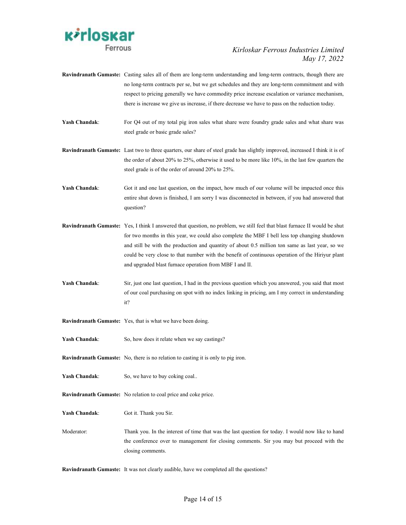

- Ravindranath Gumaste: Casting sales all of them are long-term understanding and long-term contracts, though there are no long-term contracts per se, but we get schedules and they are long-term commitment and with respect to pricing generally we have commodity price increase escalation or variance mechanism, there is increase we give us increase, if there decrease we have to pass on the reduction today.
- Yash Chandak: For Q4 out of my total pig iron sales what share were foundry grade sales and what share was steel grade or basic grade sales?
- Ravindranath Gumaste: Last two to three quarters, our share of steel grade has slightly improved, increased I think it is of the order of about 20% to 25%, otherwise it used to be more like 10%, in the last few quarters the steel grade is of the order of around 20% to 25%.
- Yash Chandak: Got it and one last question, on the impact, how much of our volume will be impacted once this entire shut down is finished, I am sorry I was disconnected in between, if you had answered that question?
- Ravindranath Gumaste: Yes, I think I answered that question, no problem, we still feel that blast furnace II would be shut for two months in this year, we could also complete the MBF I bell less top changing shutdown and still be with the production and quantity of about 0.5 million ton same as last year, so we could be very close to that number with the benefit of continuous operation of the Hiriyur plant and upgraded blast furnace operation from MBF I and II.
- Yash Chandak: Sir, just one last question, I had in the previous question which you answered, you said that most of our coal purchasing on spot with no index linking in pricing, am I my correct in understanding it?
- Ravindranath Gumaste: Yes, that is what we have been doing.
- Yash Chandak: So, how does it relate when we say castings?
- Ravindranath Gumaste: No, there is no relation to casting it is only to pig iron.
- Yash Chandak: So, we have to buy coking coal..
- Ravindranath Gumaste: No relation to coal price and coke price.
- Yash Chandak: Got it. Thank you Sir.
- Moderator: Thank you. In the interest of time that was the last question for today. I would now like to hand the conference over to management for closing comments. Sir you may but proceed with the closing comments.

Ravindranath Gumaste: It was not clearly audible, have we completed all the questions?